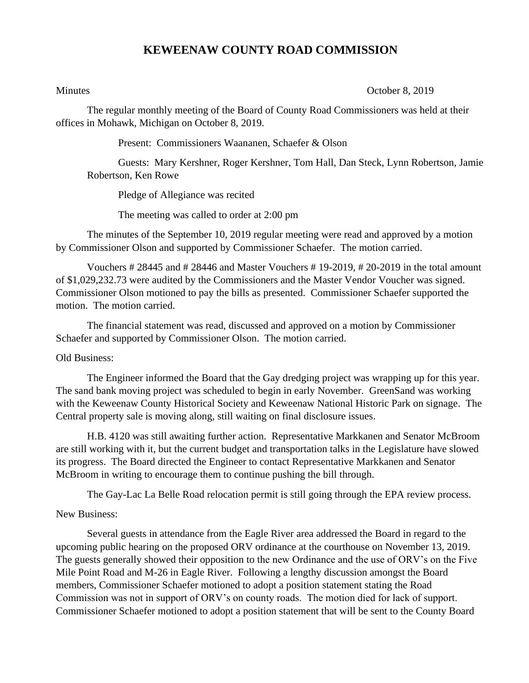## **KEWEENAW COUNTY ROAD COMMISSION**

Minutes **October 8, 2019** 

The regular monthly meeting of the Board of County Road Commissioners was held at their offices in Mohawk, Michigan on October 8, 2019.

Present: Commissioners Waananen, Schaefer & Olson

Guests: Mary Kershner, Roger Kershner, Tom Hall, Dan Steck, Lynn Robertson, Jamie Robertson, Ken Rowe

Pledge of Allegiance was recited

The meeting was called to order at 2:00 pm

The minutes of the September 10, 2019 regular meeting were read and approved by a motion by Commissioner Olson and supported by Commissioner Schaefer. The motion carried.

Vouchers # 28445 and # 28446 and Master Vouchers # 19-2019, # 20-2019 in the total amount of \$1,029,232.73 were audited by the Commissioners and the Master Vendor Voucher was signed. Commissioner Olson motioned to pay the bills as presented. Commissioner Schaefer supported the motion. The motion carried.

The financial statement was read, discussed and approved on a motion by Commissioner Schaefer and supported by Commissioner Olson. The motion carried.

## Old Business:

The Engineer informed the Board that the Gay dredging project was wrapping up for this year. The sand bank moving project was scheduled to begin in early November. GreenSand was working with the Keweenaw County Historical Society and Keweenaw National Historic Park on signage. The Central property sale is moving along, still waiting on final disclosure issues.

H.B. 4120 was still awaiting further action. Representative Markkanen and Senator McBroom are still working with it, but the current budget and transportation talks in the Legislature have slowed its progress. The Board directed the Engineer to contact Representative Markkanen and Senator McBroom in writing to encourage them to continue pushing the bill through.

The Gay-Lac La Belle Road relocation permit is still going through the EPA review process.

## New Business:

Several guests in attendance from the Eagle River area addressed the Board in regard to the upcoming public hearing on the proposed ORV ordinance at the courthouse on November 13, 2019. The guests generally showed their opposition to the new Ordinance and the use of ORV's on the Five Mile Point Road and M-26 in Eagle River. Following a lengthy discussion amongst the Board members, Commissioner Schaefer motioned to adopt a position statement stating the Road Commission was not in support of ORV's on county roads. The motion died for lack of support. Commissioner Schaefer motioned to adopt a position statement that will be sent to the County Board